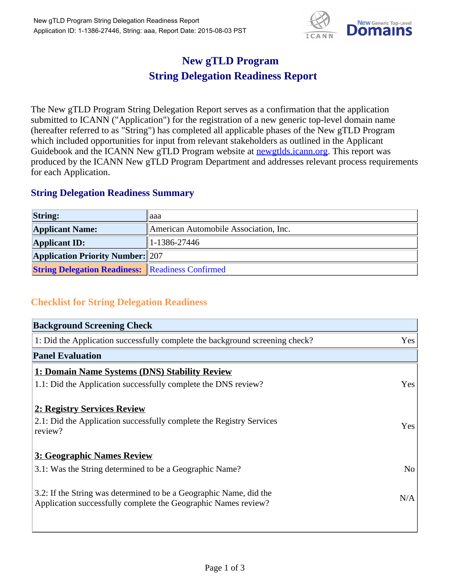

## **New gTLD Program String Delegation Readiness Report**

The New gTLD Program String Delegation Report serves as a confirmation that the application submitted to ICANN ("Application") for the registration of a new generic top-level domain name (hereafter referred to as "String") has completed all applicable phases of the New gTLD Program which included opportunities for input from relevant stakeholders as outlined in the Applicant Guidebook and the ICANN New gTLD Program website at newgtlds.icann.org. This report was produced by the ICANN New gTLD Program Department and addresses relevant process requirements for each Application.

## **String Delegation Readiness Summary**

| <b>String:</b>                                          | laaa                                  |
|---------------------------------------------------------|---------------------------------------|
| <b>Applicant Name:</b>                                  | American Automobile Association, Inc. |
| <b>Applicant ID:</b>                                    | $1-1386-27446$                        |
| <b>Application Priority Number: 207</b>                 |                                       |
| <b>String Delegation Readiness:</b> Readiness Confirmed |                                       |

## **Checklist for String Delegation Readiness**

| <b>Background Screening Check</b>                                               |                |
|---------------------------------------------------------------------------------|----------------|
| 1: Did the Application successfully complete the background screening check?    | Yes            |
| <b>Panel Evaluation</b>                                                         |                |
| 1: Domain Name Systems (DNS) Stability Review                                   |                |
| 1.1: Did the Application successfully complete the DNS review?                  | Yes            |
|                                                                                 |                |
| 2: Registry Services Review                                                     |                |
| 2.1: Did the Application successfully complete the Registry Services<br>review? | <b>Yes</b>     |
|                                                                                 |                |
| 3: Geographic Names Review                                                      |                |
| 3.1: Was the String determined to be a Geographic Name?                         | N <sub>o</sub> |
| 3.2: If the String was determined to be a Geographic Name, did the              |                |
| Application successfully complete the Geographic Names review?                  | N/A            |
|                                                                                 |                |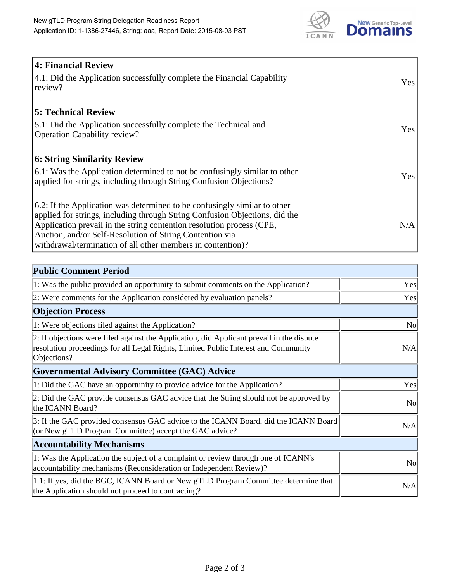

| <b>4: Financial Review</b><br>4.1: Did the Application successfully complete the Financial Capability<br>review?                                                                                                                                                                                                                                             | Yes |
|--------------------------------------------------------------------------------------------------------------------------------------------------------------------------------------------------------------------------------------------------------------------------------------------------------------------------------------------------------------|-----|
| <b>5: Technical Review</b><br>5.1: Did the Application successfully complete the Technical and<br><b>Operation Capability review?</b>                                                                                                                                                                                                                        | Yes |
| <b>6: String Similarity Review</b><br>$\vert$ 6.1: Was the Application determined to not be confusingly similar to other<br>applied for strings, including through String Confusion Objections?                                                                                                                                                              | Yes |
| 6.2: If the Application was determined to be confusingly similar to other<br>applied for strings, including through String Confusion Objections, did the<br>Application prevail in the string contention resolution process (CPE,<br>Auction, and/or Self-Resolution of String Contention via<br>withdrawal/termination of all other members in contention)? | N/A |

| <b>Public Comment Period</b>                                                                                                                                                                   |                |
|------------------------------------------------------------------------------------------------------------------------------------------------------------------------------------------------|----------------|
| 1: Was the public provided an opportunity to submit comments on the Application?                                                                                                               | Yes            |
| 2: Were comments for the Application considered by evaluation panels?                                                                                                                          | Yes            |
| <b>Objection Process</b>                                                                                                                                                                       |                |
| 1: Were objections filed against the Application?                                                                                                                                              | N <sub>0</sub> |
| 2: If objections were filed against the Application, did Applicant prevail in the dispute<br>resolution proceedings for all Legal Rights, Limited Public Interest and Community<br>Objections? | N/A            |
| Governmental Advisory Committee (GAC) Advice                                                                                                                                                   |                |
| 1: Did the GAC have an opportunity to provide advice for the Application?                                                                                                                      | Yes            |
| 2: Did the GAC provide consensus GAC advice that the String should not be approved by<br>the ICANN Board?                                                                                      | N <sub>o</sub> |
| 3: If the GAC provided consensus GAC advice to the ICANN Board, did the ICANN Board<br>(or New gTLD Program Committee) accept the GAC advice?                                                  | N/A            |
| <b>Accountability Mechanisms</b>                                                                                                                                                               |                |
| 1: Was the Application the subject of a complaint or review through one of ICANN's<br>accountability mechanisms (Reconsideration or Independent Review)?                                       | N <sub>0</sub> |
| 1.1: If yes, did the BGC, ICANN Board or New gTLD Program Committee determine that<br>the Application should not proceed to contracting?                                                       | N/A            |